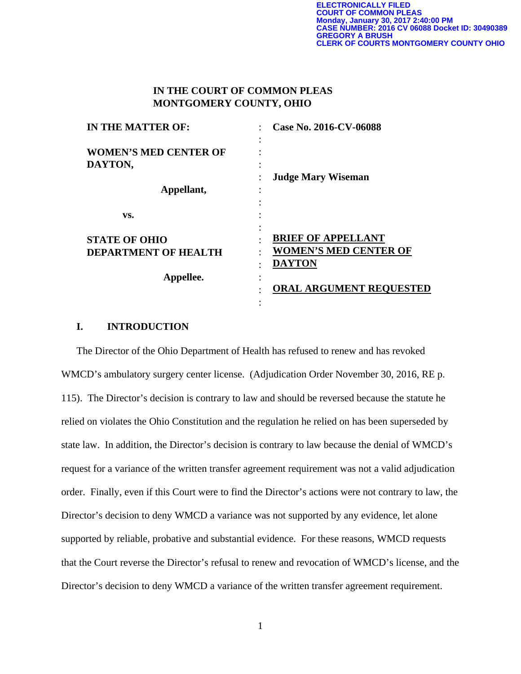## **IN THE COURT OF COMMON PLEAS MONTGOMERY COUNTY, OHIO**

| <b>IN THE MATTER OF:</b>     | Case No. 2016-CV-06088         |  |
|------------------------------|--------------------------------|--|
| <b>WOMEN'S MED CENTER OF</b> |                                |  |
| DAYTON,                      |                                |  |
|                              | <b>Judge Mary Wiseman</b>      |  |
| Appellant,                   |                                |  |
| VS.                          |                                |  |
| <b>STATE OF OHIO</b>         | <b>BRIEF OF APPELLANT</b>      |  |
| <b>DEPARTMENT OF HEALTH</b>  | <b>WOMEN'S MED CENTER OF</b>   |  |
|                              | <b>DAYTON</b>                  |  |
| Appellee.                    |                                |  |
|                              | <b>ORAL ARGUMENT REQUESTED</b> |  |
|                              |                                |  |

## **I. INTRODUCTION**

The Director of the Ohio Department of Health has refused to renew and has revoked WMCD's ambulatory surgery center license. (Adjudication Order November 30, 2016, RE p. 115). The Director's decision is contrary to law and should be reversed because the statute he relied on violates the Ohio Constitution and the regulation he relied on has been superseded by state law. In addition, the Director's decision is contrary to law because the denial of WMCD's request for a variance of the written transfer agreement requirement was not a valid adjudication order. Finally, even if this Court were to find the Director's actions were not contrary to law, the Director's decision to deny WMCD a variance was not supported by any evidence, let alone supported by reliable, probative and substantial evidence. For these reasons, WMCD requests that the Court reverse the Director's refusal to renew and revocation of WMCD's license, and the Director's decision to deny WMCD a variance of the written transfer agreement requirement.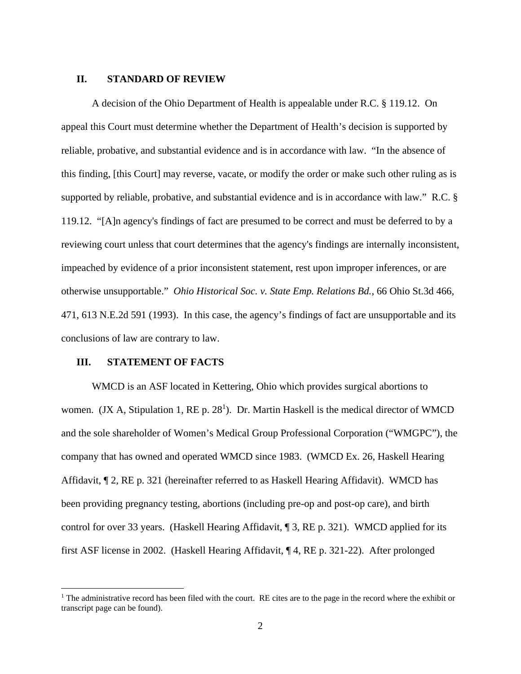### **II. STANDARD OF REVIEW**

A decision of the Ohio Department of Health is appealable under R.C. § 119.12. On appeal this Court must determine whether the Department of Health's decision is supported by reliable, probative, and substantial evidence and is in accordance with law. "In the absence of this finding, [this Court] may reverse, vacate, or modify the order or make such other ruling as is supported by reliable, probative, and substantial evidence and is in accordance with law." R.C. § 119.12. "[A]n agency's findings of fact are presumed to be correct and must be deferred to by a reviewing court unless that court determines that the agency's findings are internally inconsistent, impeached by evidence of a prior inconsistent statement, rest upon improper inferences, or are otherwise unsupportable." *Ohio Historical Soc. v. State Emp. Relations Bd.*, 66 Ohio St.3d 466, 471, 613 N.E.2d 591 (1993). In this case, the agency's findings of fact are unsupportable and its conclusions of law are contrary to law.

### **III. STATEMENT OF FACTS**

 $\overline{a}$ 

WMCD is an ASF located in Kettering, Ohio which provides surgical abortions to women. (JX A, Stipulation 1, RE p.  $28<sup>1</sup>$ ). Dr. Martin Haskell is the medical director of WMCD and the sole shareholder of Women's Medical Group Professional Corporation ("WMGPC"), the company that has owned and operated WMCD since 1983. (WMCD Ex. 26, Haskell Hearing Affidavit, ¶ 2, RE p. 321 (hereinafter referred to as Haskell Hearing Affidavit). WMCD has been providing pregnancy testing, abortions (including pre-op and post-op care), and birth control for over 33 years. (Haskell Hearing Affidavit, ¶ 3, RE p. 321). WMCD applied for its first ASF license in 2002. (Haskell Hearing Affidavit, ¶ 4, RE p. 321-22). After prolonged

<sup>&</sup>lt;sup>1</sup> The administrative record has been filed with the court. RE cites are to the page in the record where the exhibit or transcript page can be found).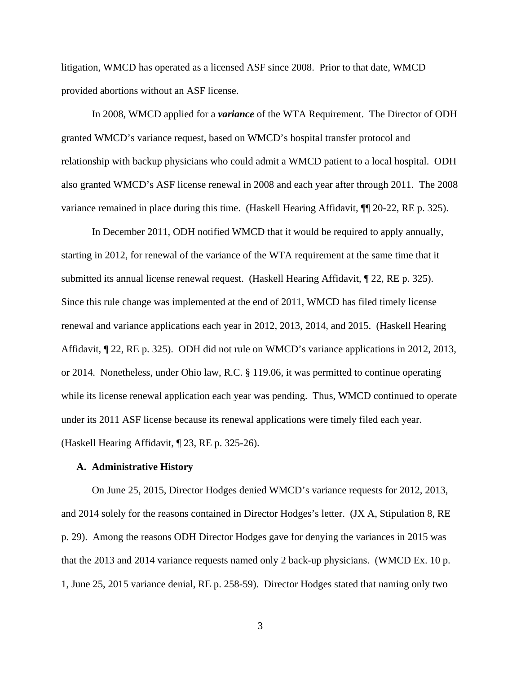litigation, WMCD has operated as a licensed ASF since 2008. Prior to that date, WMCD provided abortions without an ASF license.

In 2008, WMCD applied for a *variance* of the WTA Requirement. The Director of ODH granted WMCD's variance request, based on WMCD's hospital transfer protocol and relationship with backup physicians who could admit a WMCD patient to a local hospital. ODH also granted WMCD's ASF license renewal in 2008 and each year after through 2011. The 2008 variance remained in place during this time. (Haskell Hearing Affidavit, ¶¶ 20-22, RE p. 325).

In December 2011, ODH notified WMCD that it would be required to apply annually, starting in 2012, for renewal of the variance of the WTA requirement at the same time that it submitted its annual license renewal request. (Haskell Hearing Affidavit, ¶ 22, RE p. 325). Since this rule change was implemented at the end of 2011, WMCD has filed timely license renewal and variance applications each year in 2012, 2013, 2014, and 2015. (Haskell Hearing Affidavit, ¶ 22, RE p. 325). ODH did not rule on WMCD's variance applications in 2012, 2013, or 2014. Nonetheless, under Ohio law, R.C. § 119.06, it was permitted to continue operating while its license renewal application each year was pending. Thus, WMCD continued to operate under its 2011 ASF license because its renewal applications were timely filed each year. (Haskell Hearing Affidavit, ¶ 23, RE p. 325-26).

#### **A. Administrative History**

On June 25, 2015, Director Hodges denied WMCD's variance requests for 2012, 2013, and 2014 solely for the reasons contained in Director Hodges's letter. (JX A, Stipulation 8, RE p. 29). Among the reasons ODH Director Hodges gave for denying the variances in 2015 was that the 2013 and 2014 variance requests named only 2 back-up physicians. (WMCD Ex. 10 p. 1, June 25, 2015 variance denial, RE p. 258-59). Director Hodges stated that naming only two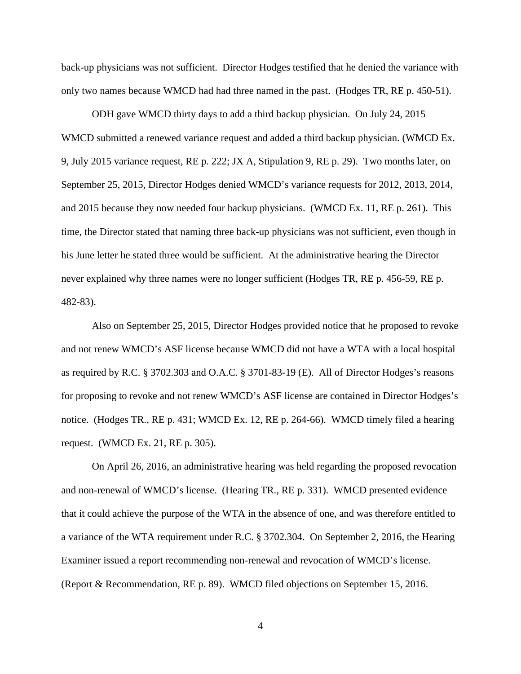back-up physicians was not sufficient. Director Hodges testified that he denied the variance with only two names because WMCD had had three named in the past. (Hodges TR, RE p. 450-51).

ODH gave WMCD thirty days to add a third backup physician. On July 24, 2015 WMCD submitted a renewed variance request and added a third backup physician. (WMCD Ex. 9, July 2015 variance request, RE p. 222; JX A, Stipulation 9, RE p. 29). Two months later, on September 25, 2015, Director Hodges denied WMCD's variance requests for 2012, 2013, 2014, and 2015 because they now needed four backup physicians. (WMCD Ex. 11, RE p. 261). This time, the Director stated that naming three back-up physicians was not sufficient, even though in his June letter he stated three would be sufficient. At the administrative hearing the Director never explained why three names were no longer sufficient (Hodges TR, RE p. 456-59, RE p. 482-83).

Also on September 25, 2015, Director Hodges provided notice that he proposed to revoke and not renew WMCD's ASF license because WMCD did not have a WTA with a local hospital as required by R.C. § 3702.303 and O.A.C. § 3701-83-19 (E). All of Director Hodges's reasons for proposing to revoke and not renew WMCD's ASF license are contained in Director Hodges's notice. (Hodges TR., RE p. 431; WMCD Ex. 12, RE p. 264-66). WMCD timely filed a hearing request. (WMCD Ex. 21, RE p. 305).

On April 26, 2016, an administrative hearing was held regarding the proposed revocation and non-renewal of WMCD's license. (Hearing TR., RE p. 331). WMCD presented evidence that it could achieve the purpose of the WTA in the absence of one, and was therefore entitled to a variance of the WTA requirement under R.C. § 3702.304. On September 2, 2016, the Hearing Examiner issued a report recommending non-renewal and revocation of WMCD's license. (Report & Recommendation, RE p. 89). WMCD filed objections on September 15, 2016.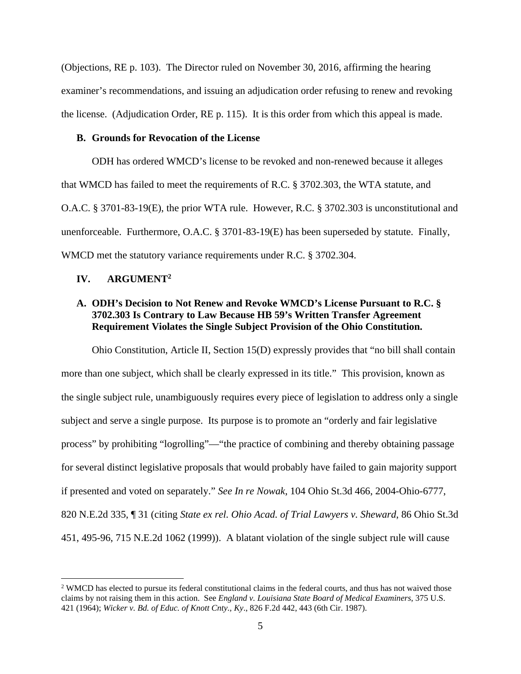(Objections, RE p. 103). The Director ruled on November 30, 2016, affirming the hearing examiner's recommendations, and issuing an adjudication order refusing to renew and revoking the license. (Adjudication Order, RE p. 115). It is this order from which this appeal is made.

### **B. Grounds for Revocation of the License**

ODH has ordered WMCD's license to be revoked and non-renewed because it alleges that WMCD has failed to meet the requirements of R.C. § 3702.303, the WTA statute, and O.A.C. § 3701-83-19(E), the prior WTA rule. However, R.C. § 3702.303 is unconstitutional and unenforceable. Furthermore, O.A.C. § 3701-83-19(E) has been superseded by statute. Finally, WMCD met the statutory variance requirements under R.C. § 3702.304.

## **IV. ARGUMENT2**

 $\overline{a}$ 

## **A. ODH's Decision to Not Renew and Revoke WMCD's License Pursuant to R.C. § 3702.303 Is Contrary to Law Because HB 59's Written Transfer Agreement Requirement Violates the Single Subject Provision of the Ohio Constitution.**

Ohio Constitution, Article II, Section 15(D) expressly provides that "no bill shall contain more than one subject, which shall be clearly expressed in its title." This provision, known as the single subject rule, unambiguously requires every piece of legislation to address only a single subject and serve a single purpose. Its purpose is to promote an "orderly and fair legislative process" by prohibiting "logrolling"—"the practice of combining and thereby obtaining passage for several distinct legislative proposals that would probably have failed to gain majority support if presented and voted on separately." *See In re Nowak*, 104 Ohio St.3d 466, 2004-Ohio-6777, 820 N.E.2d 335, ¶ 31 (citing *State ex rel. Ohio Acad. of Trial Lawyers v. Sheward*, 86 Ohio St.3d 451, 495-96, 715 N.E.2d 1062 (1999)). A blatant violation of the single subject rule will cause

<sup>&</sup>lt;sup>2</sup> WMCD has elected to pursue its federal constitutional claims in the federal courts, and thus has not waived those claims by not raising them in this action. See *England v. Louisiana State Board of Medical Examiners*, 375 U.S. 421 (1964); *Wicker v. Bd. of Educ. of Knott Cnty., Ky*., 826 F.2d 442, 443 (6th Cir. 1987).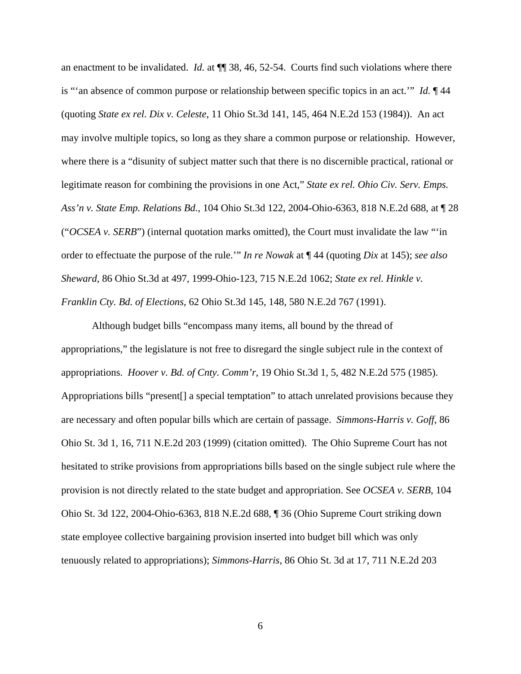an enactment to be invalidated. *Id.* at ¶¶ 38, 46, 52-54. Courts find such violations where there is "'an absence of common purpose or relationship between specific topics in an act.'" *Id.* ¶ 44 (quoting *State ex rel. Dix v. Celeste*, 11 Ohio St.3d 141, 145, 464 N.E.2d 153 (1984)). An act may involve multiple topics, so long as they share a common purpose or relationship. However, where there is a "disunity of subject matter such that there is no discernible practical, rational or legitimate reason for combining the provisions in one Act," *State ex rel. Ohio Civ. Serv. Emps. Ass'n v. State Emp. Relations Bd.*, 104 Ohio St.3d 122, 2004-Ohio-6363, 818 N.E.2d 688, at ¶ 28 ("*OCSEA v. SERB*") (internal quotation marks omitted), the Court must invalidate the law "'in order to effectuate the purpose of the rule.'" *In re Nowak* at ¶ 44 (quoting *Dix* at 145); *see also Sheward*, 86 Ohio St.3d at 497, 1999-Ohio-123, 715 N.E.2d 1062; *State ex rel. Hinkle v. Franklin Cty. Bd. of Elections*, 62 Ohio St.3d 145, 148, 580 N.E.2d 767 (1991).

Although budget bills "encompass many items, all bound by the thread of appropriations," the legislature is not free to disregard the single subject rule in the context of appropriations. *Hoover v. Bd. of Cnty. Comm'r*, 19 Ohio St.3d 1, 5, 482 N.E.2d 575 (1985). Appropriations bills "present[] a special temptation" to attach unrelated provisions because they are necessary and often popular bills which are certain of passage. *Simmons-Harris v. Goff*, 86 Ohio St. 3d 1, 16, 711 N.E.2d 203 (1999) (citation omitted). The Ohio Supreme Court has not hesitated to strike provisions from appropriations bills based on the single subject rule where the provision is not directly related to the state budget and appropriation. See *OCSEA v. SERB*, 104 Ohio St. 3d 122, 2004-Ohio-6363, 818 N.E.2d 688, ¶ 36 (Ohio Supreme Court striking down state employee collective bargaining provision inserted into budget bill which was only tenuously related to appropriations); *Simmons-Harris*, 86 Ohio St. 3d at 17, 711 N.E.2d 203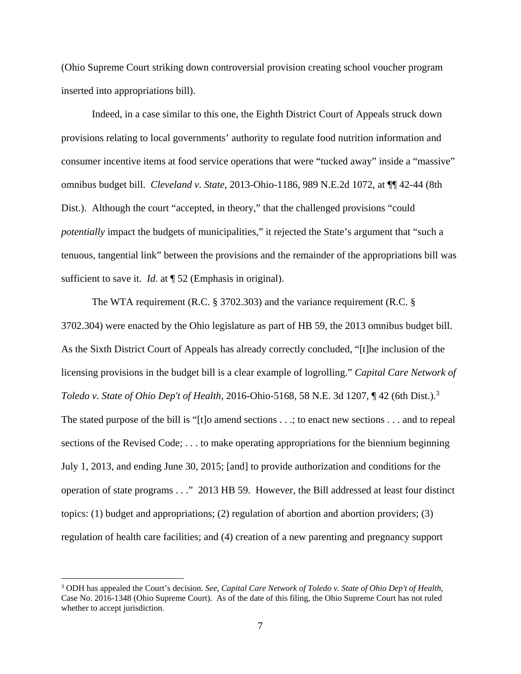(Ohio Supreme Court striking down controversial provision creating school voucher program inserted into appropriations bill).

Indeed, in a case similar to this one, the Eighth District Court of Appeals struck down provisions relating to local governments' authority to regulate food nutrition information and consumer incentive items at food service operations that were "tucked away" inside a "massive" omnibus budget bill. *Cleveland v. State*, 2013-Ohio-1186, 989 N.E.2d 1072, at ¶¶ 42-44 (8th Dist.). Although the court "accepted, in theory," that the challenged provisions "could *potentially* impact the budgets of municipalities," it rejected the State's argument that "such a tenuous, tangential link" between the provisions and the remainder of the appropriations bill was sufficient to save it. *Id.* at  $\sqrt{$  52 (Emphasis in original).

The WTA requirement (R.C. § 3702.303) and the variance requirement (R.C. § 3702.304) were enacted by the Ohio legislature as part of HB 59, the 2013 omnibus budget bill. As the Sixth District Court of Appeals has already correctly concluded, "[t]he inclusion of the licensing provisions in the budget bill is a clear example of logrolling." *Capital Care Network of Toledo v. State of Ohio Dep't of Health*, 2016-Ohio-5168, 58 N.E. 3d 1207, ¶ 42 (6th Dist.).3 The stated purpose of the bill is "[t]o amend sections . . .; to enact new sections . . . and to repeal sections of the Revised Code; . . . to make operating appropriations for the biennium beginning July 1, 2013, and ending June 30, 2015; [and] to provide authorization and conditions for the operation of state programs . . ." 2013 HB 59. However, the Bill addressed at least four distinct topics: (1) budget and appropriations; (2) regulation of abortion and abortion providers; (3) regulation of health care facilities; and (4) creation of a new parenting and pregnancy support

<sup>3</sup> ODH has appealed the Court's decision. *See*, *Capital Care Network of Toledo v. State of Ohio Dep't of Health*, Case No. 2016-1348 (Ohio Supreme Court). As of the date of this filing, the Ohio Supreme Court has not ruled whether to accept jurisdiction.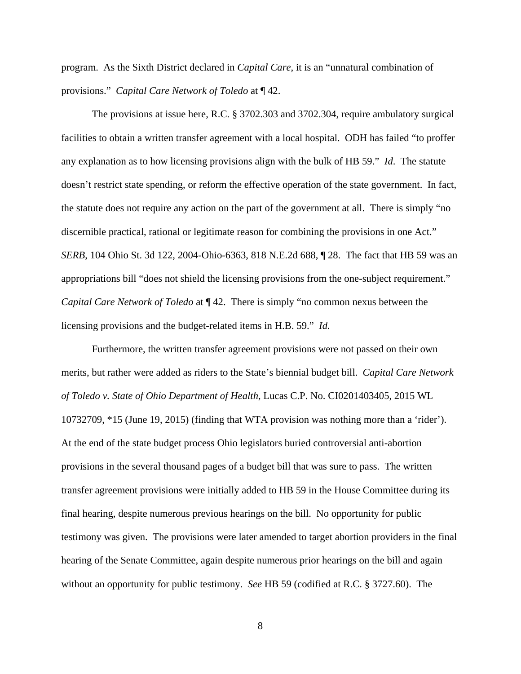program. As the Sixth District declared in *Capital Care*, it is an "unnatural combination of provisions." *Capital Care Network of Toledo* at ¶ 42.

The provisions at issue here, R.C. § 3702.303 and 3702.304, require ambulatory surgical facilities to obtain a written transfer agreement with a local hospital. ODH has failed "to proffer any explanation as to how licensing provisions align with the bulk of HB 59." *Id*. The statute doesn't restrict state spending, or reform the effective operation of the state government. In fact, the statute does not require any action on the part of the government at all. There is simply "no discernible practical, rational or legitimate reason for combining the provisions in one Act." *SERB*, 104 Ohio St. 3d 122, 2004-Ohio-6363, 818 N.E.2d 688, ¶ 28. The fact that HB 59 was an appropriations bill "does not shield the licensing provisions from the one-subject requirement." *Capital Care Network of Toledo* at ¶ 42. There is simply "no common nexus between the licensing provisions and the budget-related items in H.B. 59." *Id.* 

Furthermore, the written transfer agreement provisions were not passed on their own merits, but rather were added as riders to the State's biennial budget bill. *Capital Care Network of Toledo v. State of Ohio Department of Health*, Lucas C.P. No. CI0201403405, 2015 WL 10732709, \*15 (June 19, 2015) (finding that WTA provision was nothing more than a 'rider'). At the end of the state budget process Ohio legislators buried controversial anti-abortion provisions in the several thousand pages of a budget bill that was sure to pass. The written transfer agreement provisions were initially added to HB 59 in the House Committee during its final hearing, despite numerous previous hearings on the bill. No opportunity for public testimony was given. The provisions were later amended to target abortion providers in the final hearing of the Senate Committee, again despite numerous prior hearings on the bill and again without an opportunity for public testimony. *See* HB 59 (codified at R.C. § 3727.60). The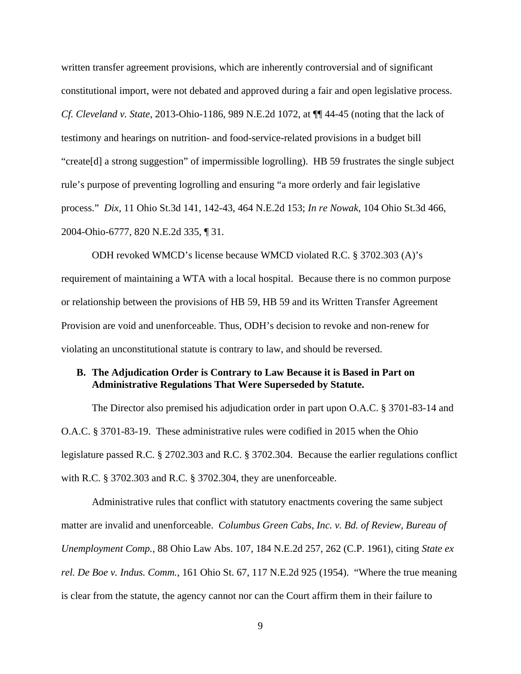written transfer agreement provisions, which are inherently controversial and of significant constitutional import, were not debated and approved during a fair and open legislative process. *Cf. Cleveland v. State*, 2013-Ohio-1186, 989 N.E.2d 1072, at ¶¶ 44-45 (noting that the lack of testimony and hearings on nutrition- and food-service-related provisions in a budget bill "create[d] a strong suggestion" of impermissible logrolling). HB 59 frustrates the single subject rule's purpose of preventing logrolling and ensuring "a more orderly and fair legislative process." *Dix*, 11 Ohio St.3d 141, 142-43, 464 N.E.2d 153; *In re Nowak*, 104 Ohio St.3d 466, 2004-Ohio-6777, 820 N.E.2d 335, ¶ 31.

ODH revoked WMCD's license because WMCD violated R.C. § 3702.303 (A)'s requirement of maintaining a WTA with a local hospital. Because there is no common purpose or relationship between the provisions of HB 59, HB 59 and its Written Transfer Agreement Provision are void and unenforceable. Thus, ODH's decision to revoke and non-renew for violating an unconstitutional statute is contrary to law, and should be reversed.

## **B. The Adjudication Order is Contrary to Law Because it is Based in Part on Administrative Regulations That Were Superseded by Statute.**

The Director also premised his adjudication order in part upon O.A.C. § 3701-83-14 and O.A.C. § 3701-83-19. These administrative rules were codified in 2015 when the Ohio legislature passed R.C. § 2702.303 and R.C. § 3702.304. Because the earlier regulations conflict with R.C. § 3702.303 and R.C. § 3702.304, they are unenforceable.

Administrative rules that conflict with statutory enactments covering the same subject matter are invalid and unenforceable. *Columbus Green Cabs, Inc. v. Bd. of Review, Bureau of Unemployment Comp.*, 88 Ohio Law Abs. 107, 184 N.E.2d 257, 262 (C.P. 1961), citing *State ex rel. De Boe v. Indus. Comm.*, 161 Ohio St. 67, 117 N.E.2d 925 (1954). "Where the true meaning is clear from the statute, the agency cannot nor can the Court affirm them in their failure to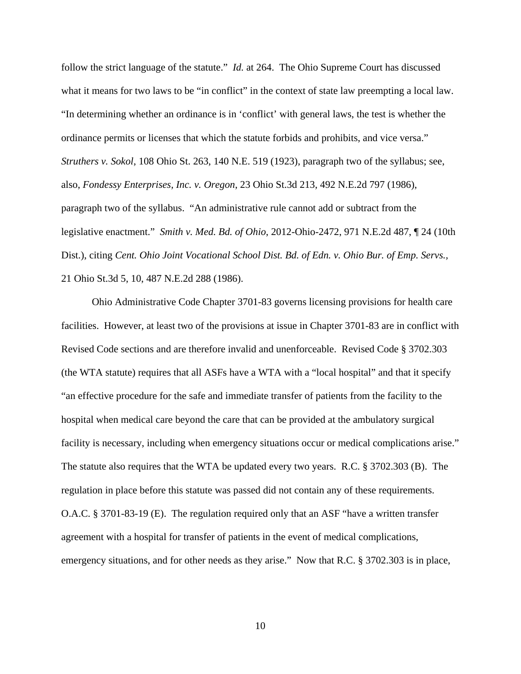follow the strict language of the statute." *Id.* at 264. The Ohio Supreme Court has discussed what it means for two laws to be "in conflict" in the context of state law preempting a local law. "In determining whether an ordinance is in 'conflict' with general laws, the test is whether the ordinance permits or licenses that which the statute forbids and prohibits, and vice versa." *Struthers v. Sokol*, 108 Ohio St. 263, 140 N.E. 519 (1923), paragraph two of the syllabus; see, also, *Fondessy Enterprises, Inc. v. Oregon*, 23 Ohio St.3d 213, 492 N.E.2d 797 (1986), paragraph two of the syllabus. "An administrative rule cannot add or subtract from the legislative enactment." *Smith v. Med. Bd. of Ohio*, 2012-Ohio-2472, 971 N.E.2d 487, ¶ 24 (10th Dist.), citing *Cent. Ohio Joint Vocational School Dist. Bd. of Edn. v. Ohio Bur. of Emp. Servs.,* 21 Ohio St.3d 5, 10, 487 N.E.2d 288 (1986).

Ohio Administrative Code Chapter 3701-83 governs licensing provisions for health care facilities. However, at least two of the provisions at issue in Chapter 3701-83 are in conflict with Revised Code sections and are therefore invalid and unenforceable. Revised Code § 3702.303 (the WTA statute) requires that all ASFs have a WTA with a "local hospital" and that it specify "an effective procedure for the safe and immediate transfer of patients from the facility to the hospital when medical care beyond the care that can be provided at the ambulatory surgical facility is necessary, including when emergency situations occur or medical complications arise." The statute also requires that the WTA be updated every two years. R.C. § 3702.303 (B). The regulation in place before this statute was passed did not contain any of these requirements. O.A.C. § 3701-83-19 (E). The regulation required only that an ASF "have a written transfer agreement with a hospital for transfer of patients in the event of medical complications, emergency situations, and for other needs as they arise." Now that R.C. § 3702.303 is in place,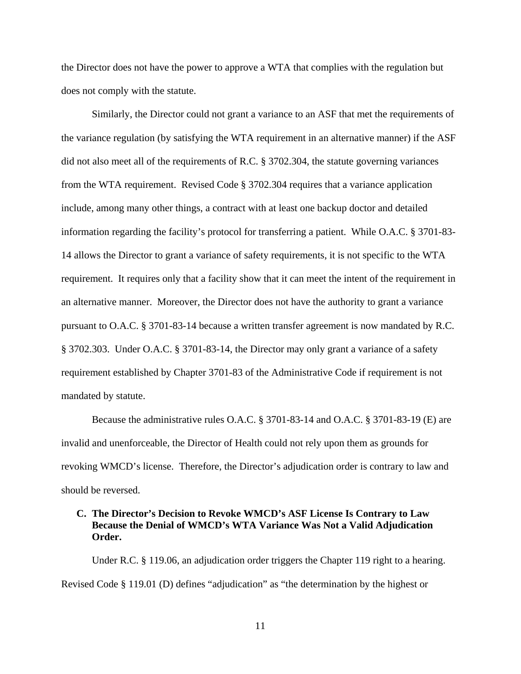the Director does not have the power to approve a WTA that complies with the regulation but does not comply with the statute.

Similarly, the Director could not grant a variance to an ASF that met the requirements of the variance regulation (by satisfying the WTA requirement in an alternative manner) if the ASF did not also meet all of the requirements of R.C. § 3702.304, the statute governing variances from the WTA requirement. Revised Code § 3702.304 requires that a variance application include, among many other things, a contract with at least one backup doctor and detailed information regarding the facility's protocol for transferring a patient. While O.A.C. § 3701-83- 14 allows the Director to grant a variance of safety requirements, it is not specific to the WTA requirement. It requires only that a facility show that it can meet the intent of the requirement in an alternative manner. Moreover, the Director does not have the authority to grant a variance pursuant to O.A.C. § 3701-83-14 because a written transfer agreement is now mandated by R.C. § 3702.303. Under O.A.C. § 3701-83-14, the Director may only grant a variance of a safety requirement established by Chapter 3701-83 of the Administrative Code if requirement is not mandated by statute.

Because the administrative rules O.A.C. § 3701-83-14 and O.A.C. § 3701-83-19 (E) are invalid and unenforceable, the Director of Health could not rely upon them as grounds for revoking WMCD's license. Therefore, the Director's adjudication order is contrary to law and should be reversed.

## **C. The Director's Decision to Revoke WMCD's ASF License Is Contrary to Law Because the Denial of WMCD's WTA Variance Was Not a Valid Adjudication Order.**

Under R.C. § 119.06, an adjudication order triggers the Chapter 119 right to a hearing. Revised Code § 119.01 (D) defines "adjudication" as "the determination by the highest or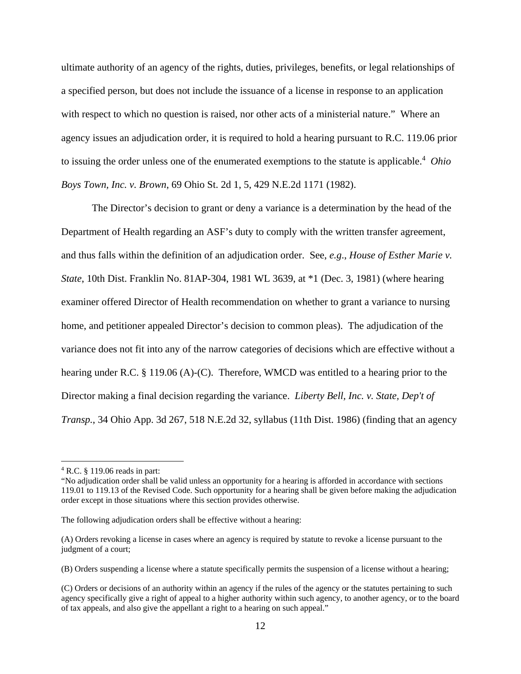ultimate authority of an agency of the rights, duties, privileges, benefits, or legal relationships of a specified person, but does not include the issuance of a license in response to an application with respect to which no question is raised, nor other acts of a ministerial nature." Where an agency issues an adjudication order, it is required to hold a hearing pursuant to R.C. 119.06 prior to issuing the order unless one of the enumerated exemptions to the statute is applicable.<sup>4</sup> Ohio *Boys Town, Inc. v. Brown*, 69 Ohio St. 2d 1, 5, 429 N.E.2d 1171 (1982).

The Director's decision to grant or deny a variance is a determination by the head of the Department of Health regarding an ASF's duty to comply with the written transfer agreement, and thus falls within the definition of an adjudication order. See, *e.g*., *House of Esther Marie v. State*, 10th Dist. Franklin No. 81AP-304, 1981 WL 3639, at \*1 (Dec. 3, 1981) (where hearing examiner offered Director of Health recommendation on whether to grant a variance to nursing home, and petitioner appealed Director's decision to common pleas). The adjudication of the variance does not fit into any of the narrow categories of decisions which are effective without a hearing under R.C. § 119.06 (A)-(C). Therefore, WMCD was entitled to a hearing prior to the Director making a final decision regarding the variance. *Liberty Bell, Inc. v. State, Dep't of Transp.*, 34 Ohio App. 3d 267, 518 N.E.2d 32, syllabus (11th Dist. 1986) (finding that an agency

<sup>4</sup> R.C. § 119.06 reads in part:

<sup>&</sup>quot;No adjudication order shall be valid unless an opportunity for a hearing is afforded in accordance with sections 119.01 to 119.13 of the Revised Code. Such opportunity for a hearing shall be given before making the adjudication order except in those situations where this section provides otherwise.

The following adjudication orders shall be effective without a hearing:

<sup>(</sup>A) Orders revoking a license in cases where an agency is required by statute to revoke a license pursuant to the judgment of a court;

<sup>(</sup>B) Orders suspending a license where a statute specifically permits the suspension of a license without a hearing;

<sup>(</sup>C) Orders or decisions of an authority within an agency if the rules of the agency or the statutes pertaining to such agency specifically give a right of appeal to a higher authority within such agency, to another agency, or to the board of tax appeals, and also give the appellant a right to a hearing on such appeal."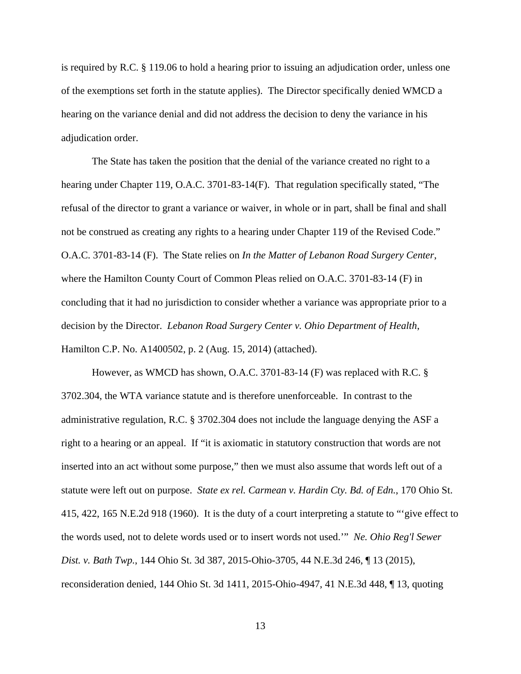is required by R.C. § 119.06 to hold a hearing prior to issuing an adjudication order, unless one of the exemptions set forth in the statute applies). The Director specifically denied WMCD a hearing on the variance denial and did not address the decision to deny the variance in his adjudication order.

The State has taken the position that the denial of the variance created no right to a hearing under Chapter 119, O.A.C. 3701-83-14(F). That regulation specifically stated, "The refusal of the director to grant a variance or waiver, in whole or in part, shall be final and shall not be construed as creating any rights to a hearing under Chapter 119 of the Revised Code." O.A.C. 3701-83-14 (F). The State relies on *In the Matter of Lebanon Road Surgery Center*, where the Hamilton County Court of Common Pleas relied on O.A.C. 3701-83-14 (F) in concluding that it had no jurisdiction to consider whether a variance was appropriate prior to a decision by the Director. *Lebanon Road Surgery Center v. Ohio Department of Health*, Hamilton C.P. No. A1400502, p. 2 (Aug. 15, 2014) (attached).

However, as WMCD has shown, O.A.C. 3701-83-14 (F) was replaced with R.C. § 3702.304, the WTA variance statute and is therefore unenforceable. In contrast to the administrative regulation, R.C. § 3702.304 does not include the language denying the ASF a right to a hearing or an appeal. If "it is axiomatic in statutory construction that words are not inserted into an act without some purpose," then we must also assume that words left out of a statute were left out on purpose. *State ex rel. Carmean v. Hardin Cty. Bd. of Edn.*, 170 Ohio St. 415, 422, 165 N.E.2d 918 (1960). It is the duty of a court interpreting a statute to "'give effect to the words used, not to delete words used or to insert words not used.'" *Ne. Ohio Reg'l Sewer Dist. v. Bath Twp.*, 144 Ohio St. 3d 387, 2015-Ohio-3705, 44 N.E.3d 246, ¶ 13 (2015), reconsideration denied, 144 Ohio St. 3d 1411, 2015-Ohio-4947, 41 N.E.3d 448, ¶ 13, quoting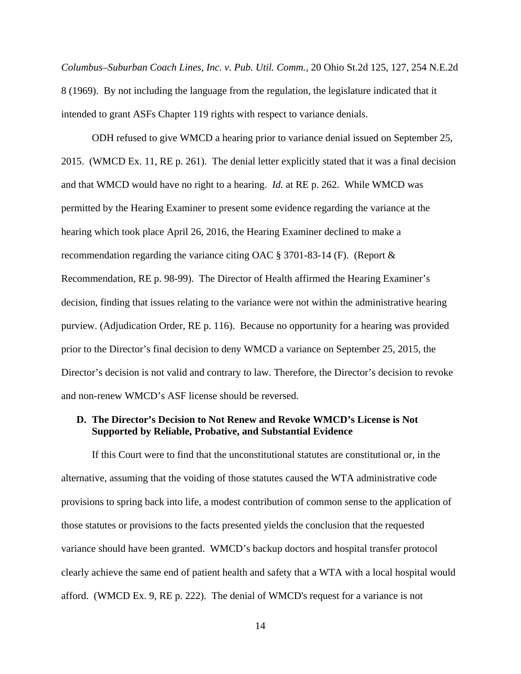*Columbus–Suburban Coach Lines, Inc. v. Pub. Util. Comm.*, 20 Ohio St.2d 125, 127, 254 N.E.2d 8 (1969). By not including the language from the regulation, the legislature indicated that it intended to grant ASFs Chapter 119 rights with respect to variance denials.

ODH refused to give WMCD a hearing prior to variance denial issued on September 25, 2015. (WMCD Ex. 11, RE p. 261). The denial letter explicitly stated that it was a final decision and that WMCD would have no right to a hearing. *Id.* at RE p. 262. While WMCD was permitted by the Hearing Examiner to present some evidence regarding the variance at the hearing which took place April 26, 2016, the Hearing Examiner declined to make a recommendation regarding the variance citing OAC § 3701-83-14 (F). (Report & Recommendation, RE p. 98-99). The Director of Health affirmed the Hearing Examiner's decision, finding that issues relating to the variance were not within the administrative hearing purview. (Adjudication Order, RE p. 116). Because no opportunity for a hearing was provided prior to the Director's final decision to deny WMCD a variance on September 25, 2015, the Director's decision is not valid and contrary to law. Therefore, the Director's decision to revoke and non-renew WMCD's ASF license should be reversed.

## **D. The Director's Decision to Not Renew and Revoke WMCD's License is Not Supported by Reliable, Probative, and Substantial Evidence**

If this Court were to find that the unconstitutional statutes are constitutional or, in the alternative, assuming that the voiding of those statutes caused the WTA administrative code provisions to spring back into life, a modest contribution of common sense to the application of those statutes or provisions to the facts presented yields the conclusion that the requested variance should have been granted. WMCD's backup doctors and hospital transfer protocol clearly achieve the same end of patient health and safety that a WTA with a local hospital would afford. (WMCD Ex. 9, RE p. 222). The denial of WMCD's request for a variance is not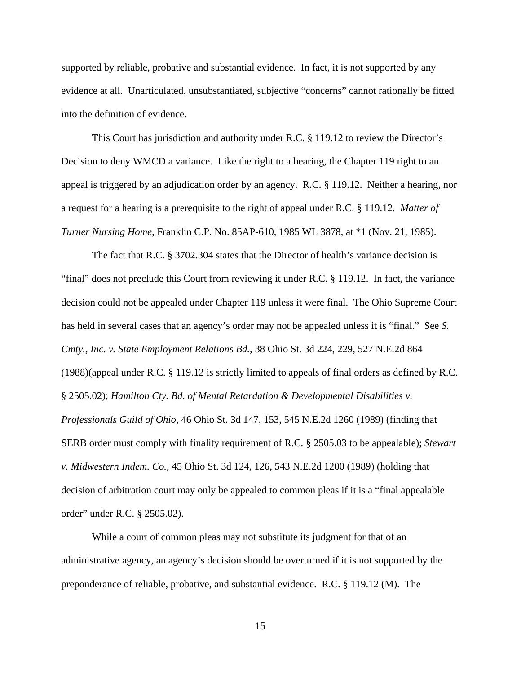supported by reliable, probative and substantial evidence. In fact, it is not supported by any evidence at all. Unarticulated, unsubstantiated, subjective "concerns" cannot rationally be fitted into the definition of evidence.

This Court has jurisdiction and authority under R.C. § 119.12 to review the Director's Decision to deny WMCD a variance. Like the right to a hearing, the Chapter 119 right to an appeal is triggered by an adjudication order by an agency. R.C. § 119.12. Neither a hearing, nor a request for a hearing is a prerequisite to the right of appeal under R.C. § 119.12. *Matter of Turner Nursing Home*, Franklin C.P. No. 85AP-610, 1985 WL 3878, at \*1 (Nov. 21, 1985).

The fact that R.C. § 3702.304 states that the Director of health's variance decision is "final" does not preclude this Court from reviewing it under R.C. § 119.12. In fact, the variance decision could not be appealed under Chapter 119 unless it were final. The Ohio Supreme Court has held in several cases that an agency's order may not be appealed unless it is "final." See *S. Cmty., Inc. v. State Employment Relations Bd.*, 38 Ohio St. 3d 224, 229, 527 N.E.2d 864 (1988)(appeal under R.C. § 119.12 is strictly limited to appeals of final orders as defined by R.C. § 2505.02); *Hamilton Cty. Bd. of Mental Retardation & Developmental Disabilities v. Professionals Guild of Ohio*, 46 Ohio St. 3d 147, 153, 545 N.E.2d 1260 (1989) (finding that SERB order must comply with finality requirement of R.C. § 2505.03 to be appealable); *Stewart v. Midwestern Indem. Co.*, 45 Ohio St. 3d 124, 126, 543 N.E.2d 1200 (1989) (holding that decision of arbitration court may only be appealed to common pleas if it is a "final appealable order" under R.C. § 2505.02).

While a court of common pleas may not substitute its judgment for that of an administrative agency, an agency's decision should be overturned if it is not supported by the preponderance of reliable, probative, and substantial evidence. R.C. § 119.12 (M). The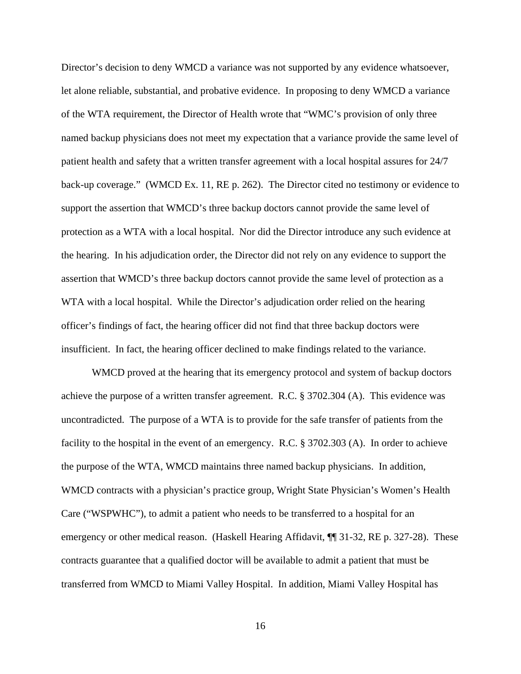Director's decision to deny WMCD a variance was not supported by any evidence whatsoever, let alone reliable, substantial, and probative evidence. In proposing to deny WMCD a variance of the WTA requirement, the Director of Health wrote that "WMC's provision of only three named backup physicians does not meet my expectation that a variance provide the same level of patient health and safety that a written transfer agreement with a local hospital assures for 24/7 back-up coverage." (WMCD Ex. 11, RE p. 262). The Director cited no testimony or evidence to support the assertion that WMCD's three backup doctors cannot provide the same level of protection as a WTA with a local hospital. Nor did the Director introduce any such evidence at the hearing. In his adjudication order, the Director did not rely on any evidence to support the assertion that WMCD's three backup doctors cannot provide the same level of protection as a WTA with a local hospital. While the Director's adjudication order relied on the hearing officer's findings of fact, the hearing officer did not find that three backup doctors were insufficient. In fact, the hearing officer declined to make findings related to the variance.

WMCD proved at the hearing that its emergency protocol and system of backup doctors achieve the purpose of a written transfer agreement. R.C. § 3702.304 (A). This evidence was uncontradicted. The purpose of a WTA is to provide for the safe transfer of patients from the facility to the hospital in the event of an emergency. R.C. § 3702.303 (A). In order to achieve the purpose of the WTA, WMCD maintains three named backup physicians. In addition, WMCD contracts with a physician's practice group, Wright State Physician's Women's Health Care ("WSPWHC"), to admit a patient who needs to be transferred to a hospital for an emergency or other medical reason. (Haskell Hearing Affidavit, ¶[ 31-32, RE p. 327-28). These contracts guarantee that a qualified doctor will be available to admit a patient that must be transferred from WMCD to Miami Valley Hospital. In addition, Miami Valley Hospital has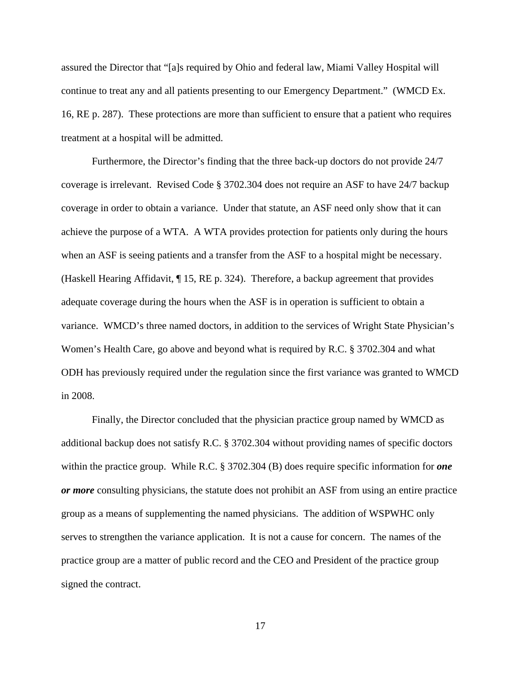assured the Director that "[a]s required by Ohio and federal law, Miami Valley Hospital will continue to treat any and all patients presenting to our Emergency Department." (WMCD Ex. 16, RE p. 287). These protections are more than sufficient to ensure that a patient who requires treatment at a hospital will be admitted.

Furthermore, the Director's finding that the three back-up doctors do not provide 24/7 coverage is irrelevant. Revised Code § 3702.304 does not require an ASF to have 24/7 backup coverage in order to obtain a variance. Under that statute, an ASF need only show that it can achieve the purpose of a WTA. A WTA provides protection for patients only during the hours when an ASF is seeing patients and a transfer from the ASF to a hospital might be necessary. (Haskell Hearing Affidavit, ¶ 15, RE p. 324). Therefore, a backup agreement that provides adequate coverage during the hours when the ASF is in operation is sufficient to obtain a variance. WMCD's three named doctors, in addition to the services of Wright State Physician's Women's Health Care, go above and beyond what is required by R.C. § 3702.304 and what ODH has previously required under the regulation since the first variance was granted to WMCD in 2008.

Finally, the Director concluded that the physician practice group named by WMCD as additional backup does not satisfy R.C. § 3702.304 without providing names of specific doctors within the practice group. While R.C. § 3702.304 (B) does require specific information for *one or more* consulting physicians, the statute does not prohibit an ASF from using an entire practice group as a means of supplementing the named physicians. The addition of WSPWHC only serves to strengthen the variance application. It is not a cause for concern. The names of the practice group are a matter of public record and the CEO and President of the practice group signed the contract.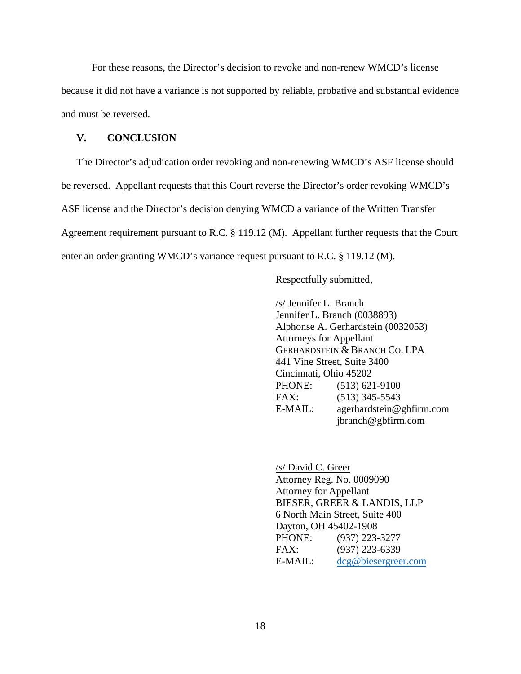For these reasons, the Director's decision to revoke and non-renew WMCD's license because it did not have a variance is not supported by reliable, probative and substantial evidence and must be reversed.

### **V. CONCLUSION**

The Director's adjudication order revoking and non-renewing WMCD's ASF license should be reversed. Appellant requests that this Court reverse the Director's order revoking WMCD's ASF license and the Director's decision denying WMCD a variance of the Written Transfer Agreement requirement pursuant to R.C. § 119.12 (M). Appellant further requests that the Court enter an order granting WMCD's variance request pursuant to R.C. § 119.12 (M).

Respectfully submitted,

 /s/ Jennifer L. Branch Jennifer L. Branch (0038893) Alphonse A. Gerhardstein (0032053) Attorneys for Appellant GERHARDSTEIN & BRANCH CO. LPA 441 Vine Street, Suite 3400 Cincinnati, Ohio 45202 PHONE: (513) 621-9100 FAX: (513) 345-5543 E-MAIL: agerhardstein@gbfirm.com jbranch@gbfirm.com

 /s/ David C. Greer Attorney Reg. No. 0009090 Attorney for Appellant BIESER, GREER & LANDIS, LLP 6 North Main Street, Suite 400 Dayton, OH 45402-1908 PHONE: (937) 223-3277 FAX: (937) 223-6339 E-MAIL: dcg@biesergreer.com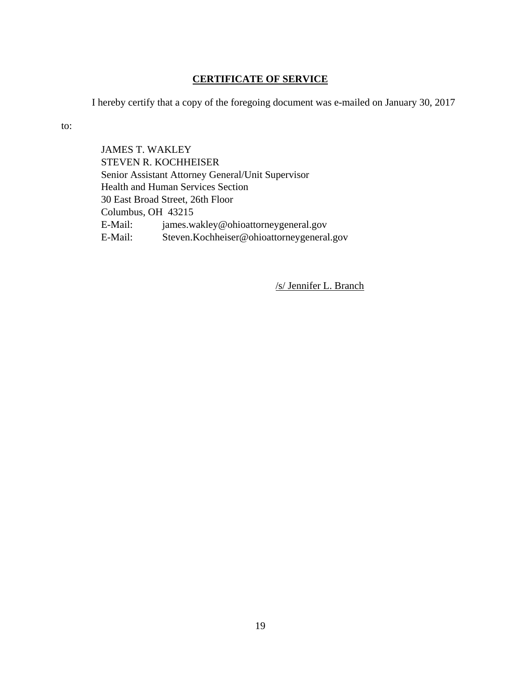# **CERTIFICATE OF SERVICE**

I hereby certify that a copy of the foregoing document was e-mailed on January 30, 2017

to:

JAMES T. WAKLEY STEVEN R. KOCHHEISER Senior Assistant Attorney General/Unit Supervisor Health and Human Services Section 30 East Broad Street, 26th Floor Columbus, OH 43215 E-Mail: james.wakley@ohioattorneygeneral.gov E-Mail: Steven.Kochheiser@ohioattorneygeneral.gov

/s/ Jennifer L. Branch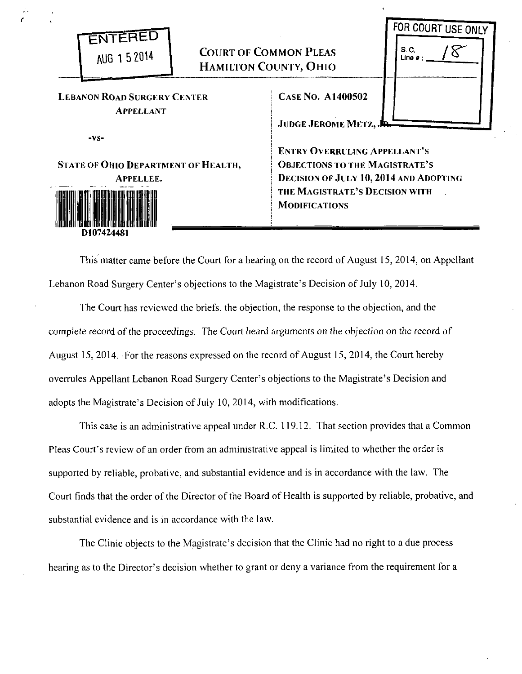| AUG 1 5 2014                                                      | <b>COURT OF COMMON PLEAS</b><br>HAMILTON COUNTY, OHIO |                                                                                                                                                                                         | FOR COURT USE ONLY<br>S. C.<br>Line $#:$ |
|-------------------------------------------------------------------|-------------------------------------------------------|-----------------------------------------------------------------------------------------------------------------------------------------------------------------------------------------|------------------------------------------|
| <b>LEBANON ROAD SURGERY CENTER</b><br><b>APPELLANT</b>            |                                                       | <b>CASE NO. A1400502</b><br><b>JUDGE JEROME METZ, JR.</b>                                                                                                                               |                                          |
| $-vs-$<br>STATE OF OHIO DEPARTMENT OF HEALTH,<br><b>APPELLEE.</b> |                                                       | <b>ENTRY OVERRULING APPELLANT'S</b><br><b>OBJECTIONS TO THE MAGISTRATE'S</b><br><b>DECISION OF JULY 10, 2014 AND ADOPTING</b><br>THE MAGISTRATE'S DECISION WITH<br><b>MODIFICATIONS</b> |                                          |

*(* 

This matter came before the Court for a hearing on the record of August 15, 2014, on Appellant Lebanon Road Surgery Center's objections to the Magistrate's Decision of July 10, 2014.

The Court has reviewed the briefs, the objection, the response to the objection, and the complete record of the proceedings. The Court heard arguments on the objection on the record of August 15, 2014. For the reasons expressed on the record of August 15, 2014, the Court hereby overrules Appellant Lebanon Road Surgery Center's objections to the Magistrate's Decision and adopts the Magistrate's Decision of July 10, 2014, with modifications.

This case is an administrative appeal under R.C. 119.12. That section provides that a Common Pleas Court's review of an order from an administrative appeal is limited to whether the order is supported by reliable, probative, and substantial evidence and is in accordance with the law. The Court finds that the order of the Director of the Board of Health is supported by reliable, probative, and substantial evidence and is in accordance with the law.

The Clinic objects to the Magistrate's decision that the Clinic had no right to a due process hearing as to the Director's decision whether to grant or deny a variance from the requirement for a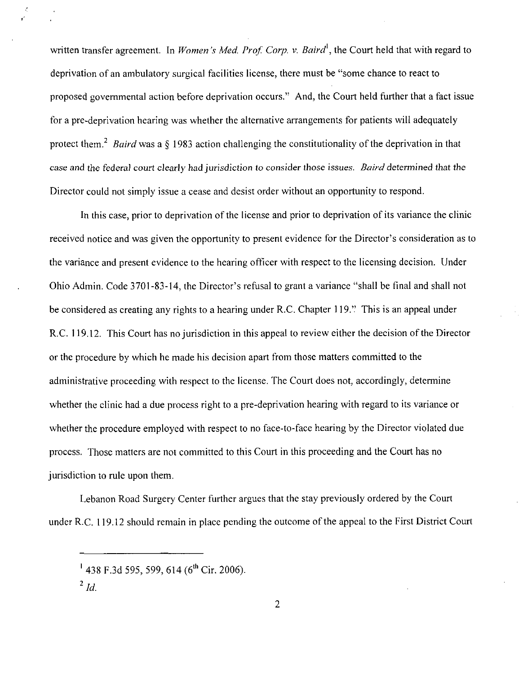written transfer agreement. In *Women's Med. Prof. Corp. v. Baird*<sup>1</sup>, the Court held that with regard to deprivation of an ambulatory surgical facilities license, there must be "some chance to react to proposed governmental action before deprivation occurs,'' And, the Court held further that a fact issue for a pre-deprivation hearing was whether the alternative arrangements for patients will adequately protect them.<sup>2</sup> Baird was a § 1983 action challenging the constitutionality of the deprivation in that case and the federal court clearly had jurisdiction to consider those issues, *Baird* determined that the Director could not simply issue a cease and desist order without an opportunity to respond,

In this case, prior to deprivation of the license and prior to deprivation of its variance the clinic received notice and was given the opportunity to present evidence for the Director's consideration as to the variance and present evidence to the hearing officer with respect to the licensing decision, Under Ohio Admin, Code 3701-83-14, the Director's refusal to grant a variance "shall be final and shall not be considered as creating any rights to a hearing under R.C. Chapter 119." This is an appeal under R.C. 119.12. This Court has no jurisdiction in this appeal to review either the decision of the Director or the procedure by which he made his decision apart from those matters committed to the administrative proceeding with respect to the license, The Court does not, accordingly, determine whether the clinic had a due process right to a pre-deprivation hearing with regard to its variance or whether the procedure employed with respect to no face-to-face hearing by the Director violated due process, Those matters are not committed to this Court in this proceeding and the Court has no jurisdiction to rule upon them,

Lebanon Road Surgery Center further argues that the stay previously ordered by the Court under R,C, 119, 12 should remain in place pending the outcome of the appeal to the First District Court

,,

<sup>&</sup>lt;sup>1</sup> 438 F.3d 595, 599, 614 (6<sup>th</sup> Cir. 2006).

 $^{2}$  Id.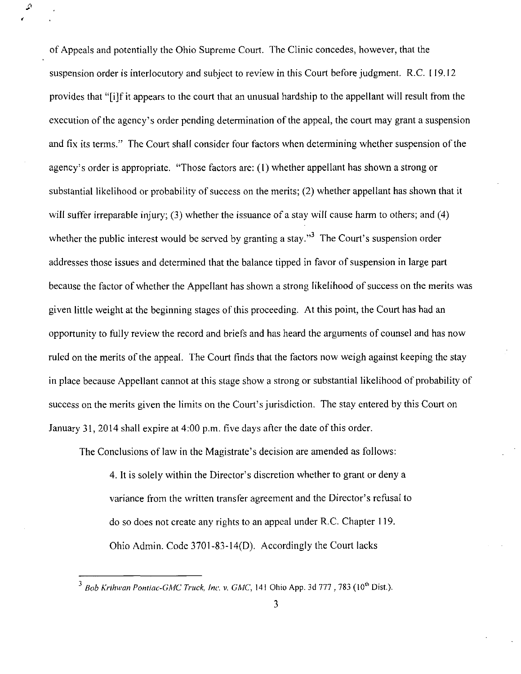of Appeals and potentially the Ohio Supreme Court. The Clinic concedes, however, that the suspension order is interlocutory and subject to review in this Court before judgment. R.C. 119.12 provides that "[i]f it appears to the court that an unusual hardship to the appellant will result from the execution of the agency's order pending determination of the appeal, the court may grant a suspension and fix its terms." The Court shall consider four factors when determining whether suspension of the agency's order is appropriate. "Those factors are: (1) whether appellant has shown a strong or substantial likelihood or probability of success on the merits; (2) whether appellant has shown that it will suffer irreparable injury; (3) whether the issuance of a stay will cause harm to others; and (4) whether the public interest would be served by granting a stay."<sup>3</sup> The Court's suspension order addresses those issues and determined that the balance tipped in favor of suspension in large part because the factor of whether the Appellant has shown a strong likelihood of success on the merits was given little weight at the beginning stages of this proceeding. At this point, the Court has had an opportunity to fully review the record and briefs and has heard the arguments of counsel and has now ruled on the merits of the appeal. The Court finds that the factors now weigh against keeping the stay in place because Appellant cannot at this stage show a strong or substantial likelihood of probability of success on the merits given the limits on the Court's jurisdiction. The stay entered by this Court on January 31, 2014 shall expire at 4:00 p.m. five days after the date of this order.

•

 $\mathcal{L}$ 

The Conclusions of law in the Magistrate's decision are amended as follows:

4. It is solely within the Director's discretion whether to grant or deny a variance from the written transfer agreement and the Director's refusal to do so does not create any rights to an appeal under R.C. Chapter 119. Ohio Admin. Code 3701-83-14(0). Accordingly the Court lacks

<sup>&</sup>lt;sup>3</sup> Bob Krihwan Pontiac-GMC Truck, Inc. v. GMC, 141 Ohio App. 3d 777, 783 (10<sup>th</sup> Dist.).